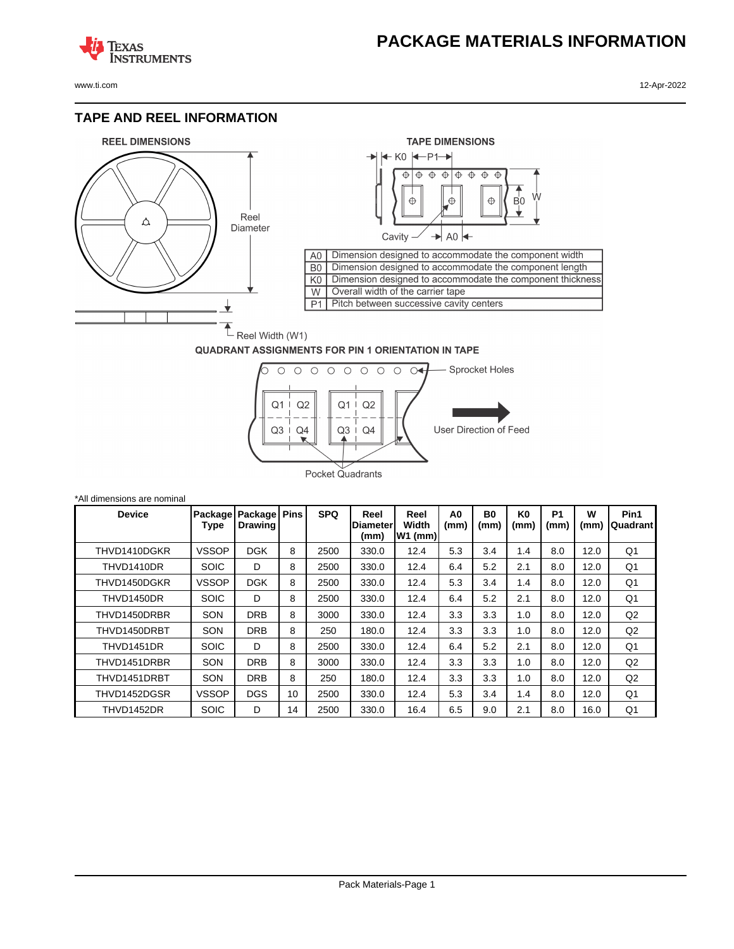## **PACKAGE MATERIALS INFORMATION**

**TEXAS NSTRUMENTS** 

#### **TAPE AND REEL INFORMATION**





#### **QUADRANT ASSIGNMENTS FOR PIN 1 ORIENTATION IN TAPE**



| *All dimensions are nominal |              |                                       |             |            |                                 |                            |            |                        |                        |                        |           |                  |
|-----------------------------|--------------|---------------------------------------|-------------|------------|---------------------------------|----------------------------|------------|------------------------|------------------------|------------------------|-----------|------------------|
| <b>Device</b>               | Type         | Package   Package  <br><b>Drawing</b> | <b>Pins</b> | <b>SPQ</b> | Reel<br><b>Diameter</b><br>(mm) | Reel<br>Width<br>$W1$ (mm) | A0<br>(mm) | B <sub>0</sub><br>(mm) | K <sub>0</sub><br>(mm) | P <sub>1</sub><br>(mm) | W<br>(mm) | Pin1<br>Quadrant |
| THVD1410DGKR                | <b>VSSOP</b> | <b>DGK</b>                            | 8           | 2500       | 330.0                           | 12.4                       | 5.3        | 3.4                    | 1.4                    | 8.0                    | 12.0      | Q1               |
| THVD1410DR                  | <b>SOIC</b>  | D                                     | 8           | 2500       | 330.0                           | 12.4                       | 6.4        | 5.2                    | 2.1                    | 8.0                    | 12.0      | Q1               |
| THVD1450DGKR                | <b>VSSOP</b> | <b>DGK</b>                            | 8           | 2500       | 330.0                           | 12.4                       | 5.3        | 3.4                    | 1.4                    | 8.0                    | 12.0      | Q <sub>1</sub>   |
| THVD1450DR                  | <b>SOIC</b>  | D                                     | 8           | 2500       | 330.0                           | 12.4                       | 6.4        | 5.2                    | 2.1                    | 8.0                    | 12.0      | Q1               |
| THVD1450DRBR                | SON          | <b>DRB</b>                            | 8           | 3000       | 330.0                           | 12.4                       | 3.3        | 3.3                    | 1.0                    | 8.0                    | 12.0      | Q2               |
| THVD1450DRBT                | SON          | <b>DRB</b>                            | 8           | 250        | 180.0                           | 12.4                       | 3.3        | 3.3                    | 1.0                    | 8.0                    | 12.0      | Q <sub>2</sub>   |
| THVD1451DR                  | <b>SOIC</b>  | D                                     | 8           | 2500       | 330.0                           | 12.4                       | 6.4        | 5.2                    | 2.1                    | 8.0                    | 12.0      | Q1               |
| THVD1451DRBR                | SON          | <b>DRB</b>                            | 8           | 3000       | 330.0                           | 12.4                       | 3.3        | 3.3                    | 1.0                    | 8.0                    | 12.0      | Q2               |
| THVD1451DRBT                | SON          | <b>DRB</b>                            | 8           | 250        | 180.0                           | 12.4                       | 3.3        | 3.3                    | 1.0                    | 8.0                    | 12.0      | Q2               |
| THVD1452DGSR                | <b>VSSOP</b> | <b>DGS</b>                            | 10          | 2500       | 330.0                           | 12.4                       | 5.3        | 3.4                    | 1.4                    | 8.0                    | 12.0      | Q1               |
| THVD1452DR                  | <b>SOIC</b>  | D                                     | 14          | 2500       | 330.0                           | 16.4                       | 6.5        | 9.0                    | 2.1                    | 8.0                    | 16.0      | Q1               |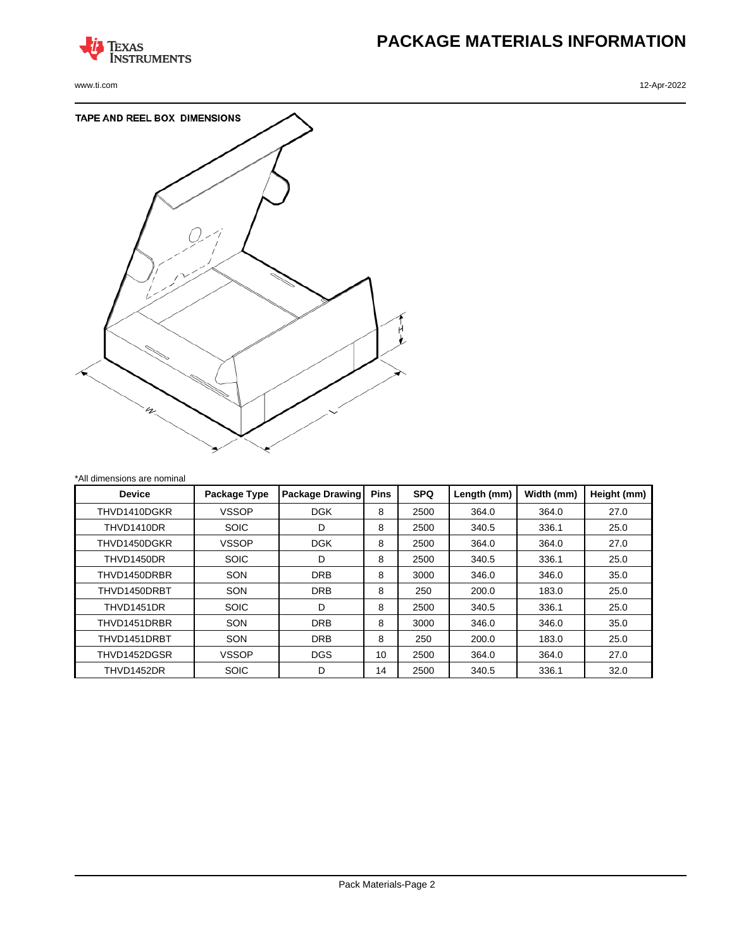

# **PACKAGE MATERIALS INFORMATION**

www.ti.com 12-Apr-2022



| *All dimensions are nominal |              |                        |             |            |             |            |             |
|-----------------------------|--------------|------------------------|-------------|------------|-------------|------------|-------------|
| <b>Device</b>               | Package Type | <b>Package Drawing</b> | <b>Pins</b> | <b>SPQ</b> | Length (mm) | Width (mm) | Height (mm) |
| THVD1410DGKR                | <b>VSSOP</b> | <b>DGK</b>             | 8           | 2500       | 364.0       | 364.0      | 27.0        |
| THVD1410DR                  | <b>SOIC</b>  | D                      | 8           | 2500       | 340.5       | 336.1      | 25.0        |
| THVD1450DGKR                | <b>VSSOP</b> | <b>DGK</b>             | 8           | 2500       | 364.0       | 364.0      | 27.0        |
| THVD1450DR                  | <b>SOIC</b>  | D                      | 8           | 2500       | 340.5       | 336.1      | 25.0        |
| THVD1450DRBR                | <b>SON</b>   | <b>DRB</b>             | 8           | 3000       | 346.0       | 346.0      | 35.0        |
| THVD1450DRBT                | <b>SON</b>   | <b>DRB</b>             | 8           | 250        | 200.0       | 183.0      | 25.0        |
| THVD1451DR                  | <b>SOIC</b>  | D                      | 8           | 2500       | 340.5       | 336.1      | 25.0        |
| THVD1451DRBR                | <b>SON</b>   | <b>DRB</b>             | 8           | 3000       | 346.0       | 346.0      | 35.0        |
| THVD1451DRBT                | <b>SON</b>   | <b>DRB</b>             | 8           | 250        | 200.0       | 183.0      | 25.0        |
| THVD1452DGSR                | <b>VSSOP</b> | <b>DGS</b>             | 10          | 2500       | 364.0       | 364.0      | 27.0        |
| THVD1452DR                  | <b>SOIC</b>  | D                      | 14          | 2500       | 340.5       | 336.1      | 32.0        |